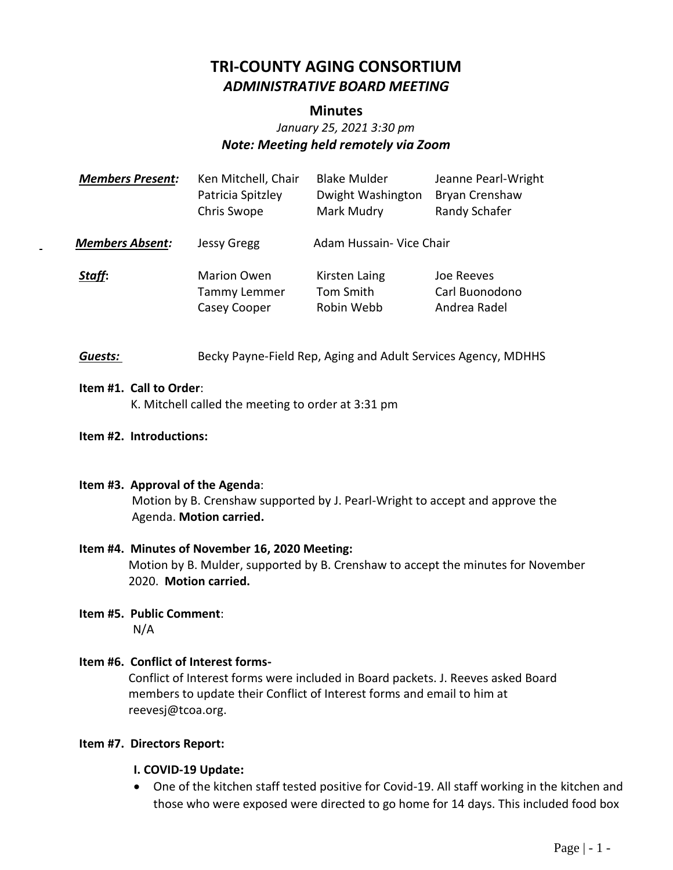# **TRI-COUNTY AGING CONSORTIUM** *ADMINISTRATIVE BOARD MEETING*

### **Minutes**

# *January 25, 2021 3:30 pm Note: Meeting held remotely via Zoom*

| <b>Members Present:</b> | Ken Mitchell, Chair<br>Patricia Spitzley<br>Chris Swope | <b>Blake Mulder</b><br>Dwight Washington<br>Mark Mudry | Jeanne Pearl-Wright<br>Bryan Crenshaw<br>Randy Schafer |
|-------------------------|---------------------------------------------------------|--------------------------------------------------------|--------------------------------------------------------|
| <b>Members Absent:</b>  | <b>Jessy Gregg</b>                                      | Adam Hussain- Vice Chair                               |                                                        |
| Staff:                  | <b>Marion Owen</b><br>Tammy Lemmer<br>Casey Cooper      | Kirsten Laing<br>Tom Smith<br>Robin Webb               | Joe Reeves<br>Carl Buonodono<br>Andrea Radel           |

**Guests:** Becky Payne-Field Rep, Aging and Adult Services Agency, MDHHS

### **Item #1. Call to Order**:

K. Mitchell called the meeting to order at 3:31 pm

**Item #2. Introductions:**

### **Item #3. Approval of the Agenda**:

Motion by B. Crenshaw supported by J. Pearl-Wright to accept and approve the Agenda. **Motion carried.**

### **Item #4. Minutes of November 16, 2020 Meeting:**

Motion by B. Mulder, supported by B. Crenshaw to accept the minutes for November 2020. **Motion carried.**

**Item #5. Public Comment**: N/A

### **Item #6. Conflict of Interest forms-**

Conflict of Interest forms were included in Board packets. J. Reeves asked Board members to update their Conflict of Interest forms and email to him at reevesj@tcoa.org.

### **Item #7. Directors Report:**

### **I. COVID-19 Update:**

• One of the kitchen staff tested positive for Covid-19. All staff working in the kitchen and those who were exposed were directed to go home for 14 days. This included food box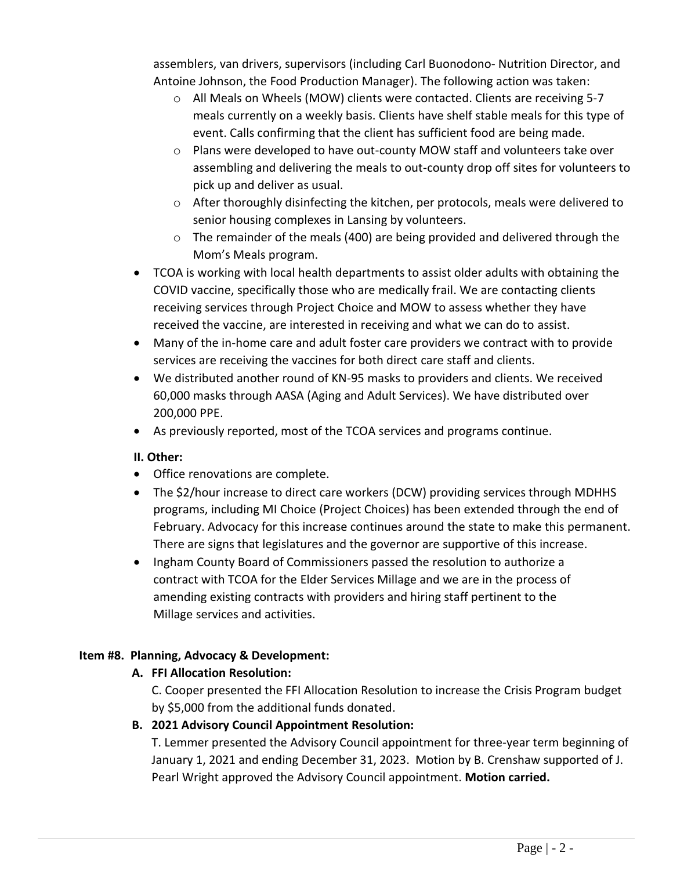assemblers, van drivers, supervisors (including Carl Buonodono- Nutrition Director, and Antoine Johnson, the Food Production Manager). The following action was taken:

- o All Meals on Wheels (MOW) clients were contacted. Clients are receiving 5-7 meals currently on a weekly basis. Clients have shelf stable meals for this type of event. Calls confirming that the client has sufficient food are being made.
- o Plans were developed to have out-county MOW staff and volunteers take over assembling and delivering the meals to out-county drop off sites for volunteers to pick up and deliver as usual.
- $\circ$  After thoroughly disinfecting the kitchen, per protocols, meals were delivered to senior housing complexes in Lansing by volunteers.
- $\circ$  The remainder of the meals (400) are being provided and delivered through the Mom's Meals program.
- TCOA is working with local health departments to assist older adults with obtaining the COVID vaccine, specifically those who are medically frail. We are contacting clients receiving services through Project Choice and MOW to assess whether they have received the vaccine, are interested in receiving and what we can do to assist.
- Many of the in-home care and adult foster care providers we contract with to provide services are receiving the vaccines for both direct care staff and clients.
- We distributed another round of KN-95 masks to providers and clients. We received 60,000 masks through AASA (Aging and Adult Services). We have distributed over 200,000 PPE.
- As previously reported, most of the TCOA services and programs continue.

### **II. Other:**

- Office renovations are complete.
- The \$2/hour increase to direct care workers (DCW) providing services through MDHHS programs, including MI Choice (Project Choices) has been extended through the end of February. Advocacy for this increase continues around the state to make this permanent. There are signs that legislatures and the governor are supportive of this increase.
- Ingham County Board of Commissioners passed the resolution to authorize a contract with TCOA for the Elder Services Millage and we are in the process of amending existing contracts with providers and hiring staff pertinent to the Millage services and activities.

# **Item #8. Planning, Advocacy & Development:**

# **A. FFI Allocation Resolution:**

C. Cooper presented the FFI Allocation Resolution to increase the Crisis Program budget by \$5,000 from the additional funds donated.

# **B. 2021 Advisory Council Appointment Resolution:**

T. Lemmer presented the Advisory Council appointment for three-year term beginning of January 1, 2021 and ending December 31, 2023. Motion by B. Crenshaw supported of J. Pearl Wright approved the Advisory Council appointment. **Motion carried.**